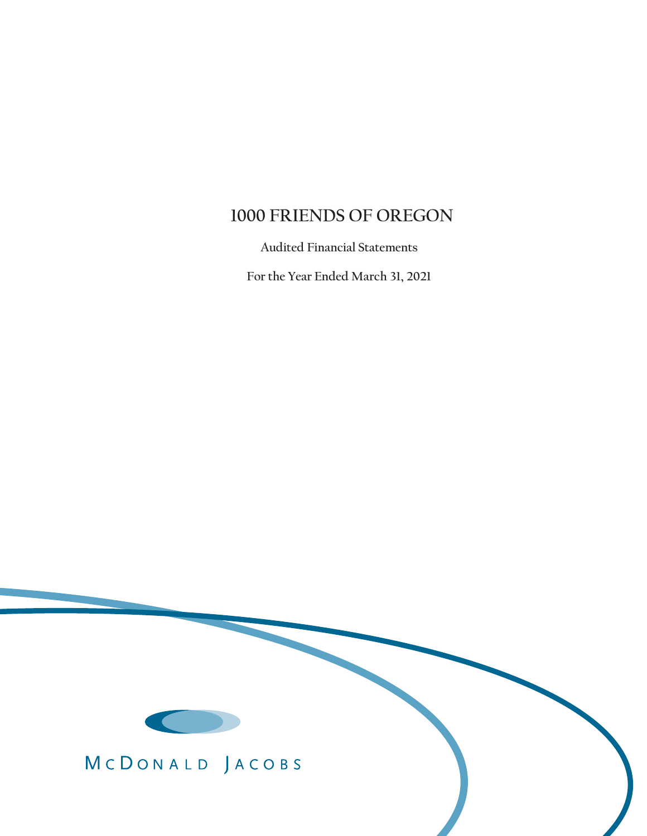# **1000 FRIENDS OF OREGON**

 **Audited Financial Statements**

 **For the Year Ended March 31, 2021**



MCDONALD JACOBS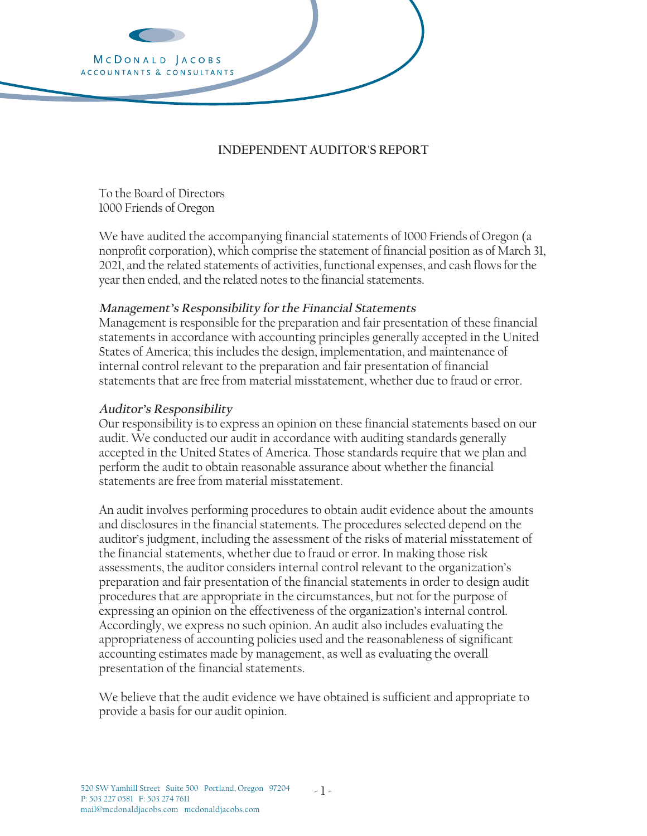

# **INDEPENDENT AUDITOR'S REPORT**

To the Board of Directors 1000 Friends of Oregon

We have audited the accompanying financial statements of 1000 Friends of Oregon (a nonprofit corporation), which comprise the statement of financial position as of March 31, 2021, and the related statements of activities, functional expenses, and cash flows for the year then ended, and the related notes to the financial statements.

## **Management's Responsibility for the Financial Statements**

Management is responsible for the preparation and fair presentation of these financial statements in accordance with accounting principles generally accepted in the United States of America; this includes the design, implementation, and maintenance of internal control relevant to the preparation and fair presentation of financial statements that are free from material misstatement, whether due to fraud or error.

# **Auditor's Responsibility**

audit. We conducted our audit in accordance with auditing standards generally<br>accepted in the United States of America. Those standards require that we plan : Our responsibility is to express an opinion on these financial statements based on our accepted in the United States of America. Those standards require that we plan and perform the audit to obtain reasonable assurance about whether the financial statements are free from material misstatement.

An audit involves performing procedures to obtain audit evidence about the amounts and disclosures in the financial statements. The procedures selected depend on the auditor's judgment, including the assessment of the risks of material misstatement of the financial statements, whether due to fraud or error. In making those risk assessments, the auditor considers internal control relevant to the organization's preparation and fair presentation of the financial statements in order to design audit procedures that are appropriate in the circumstances, but not for the purpose of expressing an opinion on the effectiveness of the organization's internal control. Accordingly, we express no such opinion. An audit also includes evaluating the appropriateness of accounting policies used and the reasonableness of significant accounting estimates made by management, as well as evaluating the overall presentation of the financial statements.

We believe that the audit evidence we have obtained is sufficient and appropriate to provide a basis for our audit opinion.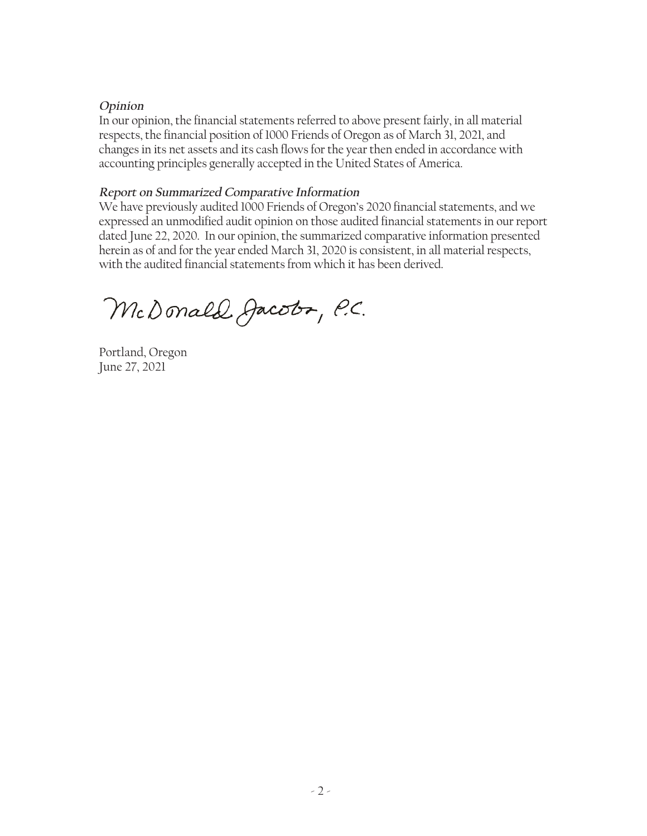# **Opinion**

In our opinion, the financial statements referred to above present fairly, in all material respects, the financial position of 1000 Friends of Oregon as of March 31, 2021, and changes in its net assets and its cash flows for the year then ended in accordance with accounting principles generally accepted in the United States of America.

# **Report on Summarized Comparative Information**

We have previously audited 1000 Friends of Oregon's 2020 financial statements, and we expressed an unmodified audit opinion on those audited financial statements in our report dated June 22, 2020. In our opinion, the summarized comparative information presented herein as of and for the year ended March 31, 2020 is consistent, in all material respects, with the audited financial statements from which it has been derived.

McDonald Jacobr, P.C.

Portland, Oregon June 27, 2021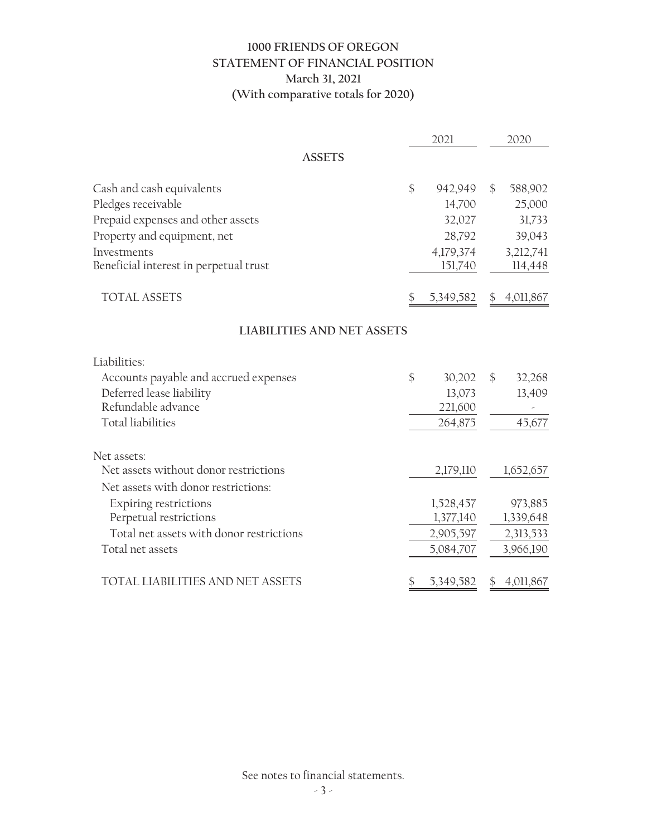# **1000 FRIENDS OF OREGON STATEMENT OF FINANCIAL POSITION March 31, 2021 (With comparative totals for 2020)**

|                                          | 2021            |               | 2020        |
|------------------------------------------|-----------------|---------------|-------------|
| <b>ASSETS</b>                            |                 |               |             |
| Cash and cash equivalents                | \$<br>942,949   | $\mathcal{S}$ | 588,902     |
| Pledges receivable                       | 14,700          |               | 25,000      |
| Prepaid expenses and other assets        | 32,027          |               | 31,733      |
| Property and equipment, net              | 28,792          |               | 39,043      |
| Investments                              | 4,179,374       |               | 3,212,741   |
| Beneficial interest in perpetual trust   | 151,740         |               | 114,448     |
| <b>TOTAL ASSETS</b>                      | \$<br>5,349,582 | $\mathcal{S}$ | 4,011,867   |
| <b>LIABILITIES AND NET ASSETS</b>        |                 |               |             |
| Liabilities:                             |                 |               |             |
| Accounts payable and accrued expenses    | \$<br>30,202    | \$            | 32,268      |
| Deferred lease liability                 | 13,073          |               | 13,409      |
| Refundable advance                       | 221,600         |               |             |
| Total liabilities                        | 264,875         |               | 45,677      |
| Net assets:                              |                 |               |             |
| Net assets without donor restrictions    | 2,179,110       |               | 1,652,657   |
| Net assets with donor restrictions:      |                 |               |             |
| <b>Expiring restrictions</b>             | 1,528,457       |               | 973,885     |
| Perpetual restrictions                   | 1,377,140       |               | 1,339,648   |
| Total net assets with donor restrictions | 2,905,597       |               | 2,313,533   |
| Total net assets                         | 5,084,707       |               | 3,966,190   |
| TOTAL LIABILITIES AND NET ASSETS         | 5,349,582       |               | \$4,011,867 |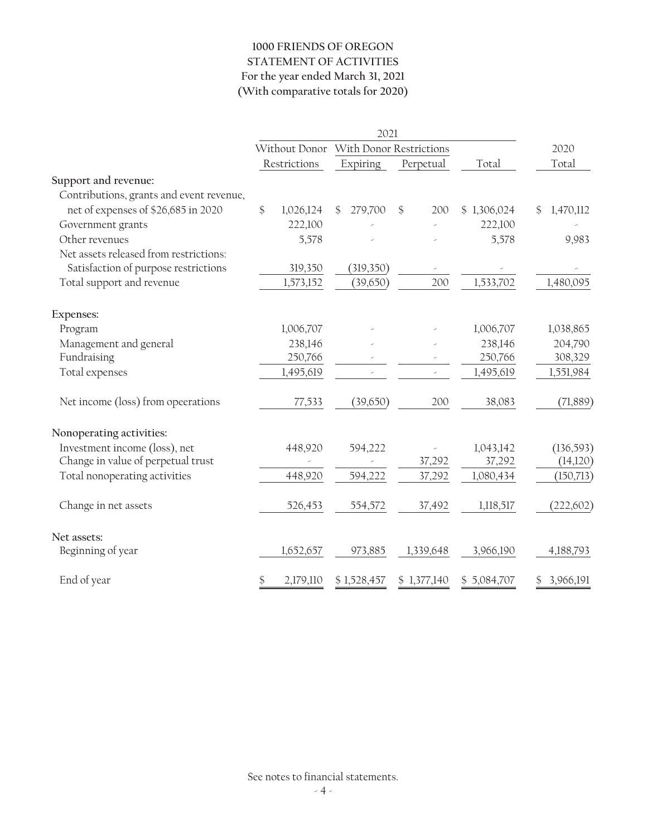# **1000 FRIENDS OF OREGON STATEMENT OF ACTIVITIES For the year ended March 31, 2021 (With comparative totals for 2020)**

|                                          |    |              |                                       | 2021        |             |     |             |                 |  |
|------------------------------------------|----|--------------|---------------------------------------|-------------|-------------|-----|-------------|-----------------|--|
|                                          |    |              | Without Donor With Donor Restrictions |             |             |     | 2020        |                 |  |
|                                          |    | Restrictions |                                       | Expiring    | Perpetual   |     | Total       | Total           |  |
| Support and revenue:                     |    |              |                                       |             |             |     |             |                 |  |
| Contributions, grants and event revenue, |    |              |                                       |             |             |     |             |                 |  |
| net of expenses of \$26,685 in 2020      | \$ | 1,026,124    | \$                                    | 279,700     | \$          | 200 | \$1,306,024 | 1,470,112<br>\$ |  |
| Government grants                        |    | 222,100      |                                       |             |             |     | 222,100     |                 |  |
| Other revenues                           |    | 5,578        |                                       |             |             |     | 5,578       | 9,983           |  |
| Net assets released from restrictions:   |    |              |                                       |             |             |     |             |                 |  |
| Satisfaction of purpose restrictions     |    | 319,350      |                                       | (319,350)   |             |     |             |                 |  |
| Total support and revenue                |    | 1,573,152    |                                       | (39,650)    |             | 200 | 1,533,702   | 1,480,095       |  |
| <b>Expenses:</b>                         |    |              |                                       |             |             |     |             |                 |  |
| Program                                  |    | 1,006,707    |                                       |             |             |     | 1,006,707   | 1,038,865       |  |
| Management and general                   |    | 238,146      |                                       |             |             |     | 238,146     | 204,790         |  |
| Fundraising                              |    | 250,766      |                                       |             |             |     | 250,766     | 308,329         |  |
| Total expenses                           |    | 1,495,619    |                                       |             |             |     | 1,495,619   | 1,551,984       |  |
| Net income (loss) from opeerations       |    | 77,533       |                                       | (39,650)    |             | 200 | 38,083      | (71,889)        |  |
| Nonoperating activities:                 |    |              |                                       |             |             |     |             |                 |  |
| Investment income (loss), net            |    | 448,920      |                                       | 594,222     |             |     | 1,043,142   | (136, 593)      |  |
| Change in value of perpetual trust       |    |              |                                       |             | 37,292      |     | 37,292      | (14,120)        |  |
| Total nonoperating activities            |    | 448,920      |                                       | 594,222     | 37,292      |     | 1,080,434   | (150, 713)      |  |
| Change in net assets                     |    | 526,453      |                                       | 554,572     | 37,492      |     | 1,118,517   | (222,602)       |  |
| Net assets:                              |    |              |                                       |             |             |     |             |                 |  |
| Beginning of year                        |    | 1,652,657    |                                       | 973,885     | 1,339,648   |     | 3,966,190   | 4,188,793       |  |
| End of year                              | \$ | 2,179,110    |                                       | \$1,528,457 | \$1,377,140 |     | \$5,084,707 | 3,966,191<br>\$ |  |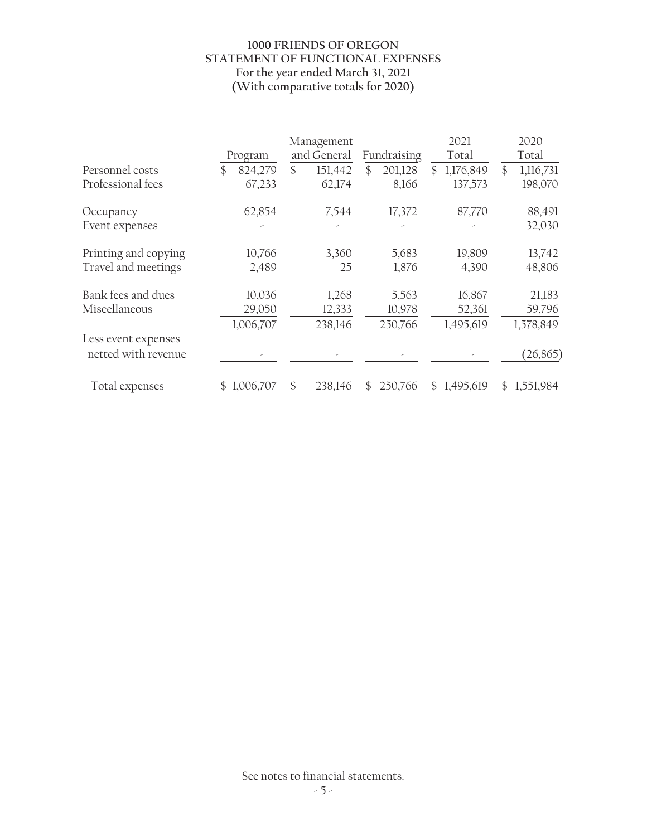#### **1000 FRIENDS OF OREGON STATEMENT OF FUNCTIONAL EXPENSES For the year ended March 31, 2021 (With comparative totals for 2020)**

|                      |           | Management               |               | 2021                      | 2020            |
|----------------------|-----------|--------------------------|---------------|---------------------------|-----------------|
|                      | Program   | and General              | Fundraising   | Total                     | Total           |
| Personnel costs      | 824,279   | $\mathcal{S}$<br>151,442 | 201,128<br>\$ | $\mathbb{S}$<br>1,176,849 | \$<br>1,116,731 |
| Professional fees    | 67,233    | 62,174                   | 8,166         | 137,573                   | 198,070         |
| Occupancy            | 62,854    | 7,544                    | 17,372        | 87,770                    | 88,491          |
| Event expenses       |           |                          |               |                           | 32,030          |
| Printing and copying | 10,766    | 3,360                    | 5,683         | 19,809                    | 13,742          |
| Travel and meetings  | 2,489     | 25                       | 1,876         | 4,390                     | 48,806          |
| Bank fees and dues   | 10,036    | 1,268                    | 5,563         | 16,867                    | 21,183          |
| Miscellaneous        | 29,050    | 12,333                   | 10,978        | 52,361                    | 59,796          |
|                      | 1,006,707 | 238,146                  | 250,766       | 1,495,619                 | 1,578,849       |
| Less event expenses  |           |                          |               |                           |                 |
| netted with revenue  |           |                          |               |                           | (26, 865)       |
| Total expenses       | 1,006,707 | 238,146                  | 250,766<br>S  | 1,495,619<br>\$.          | 1,551,984       |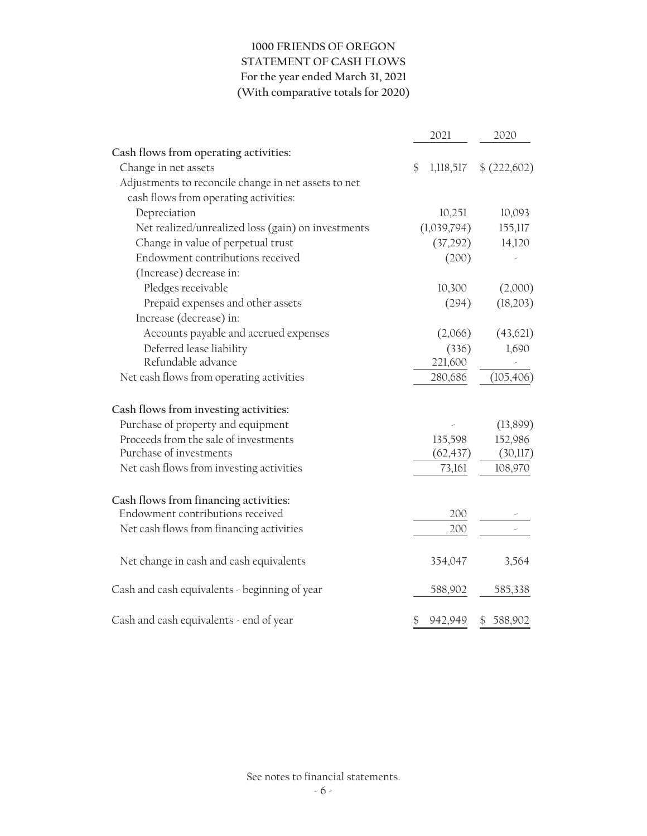# **1000 FRIENDS OF OREGON STATEMENT OF CASH FLOWS For the year ended March 31, 2021 (With comparative totals for 2020)**

|                                                      | 2021            | 2020          |
|------------------------------------------------------|-----------------|---------------|
| Cash flows from operating activities:                |                 |               |
| Change in net assets                                 | \$<br>1,118,517 | \$ (222,602)  |
| Adjustments to reconcile change in net assets to net |                 |               |
| cash flows from operating activities:                |                 |               |
| Depreciation                                         | 10,251          | 10,093        |
| Net realized/unrealized loss (gain) on investments   | (1,039,794)     | 155,117       |
| Change in value of perpetual trust                   | (37, 292)       | 14,120        |
| Endowment contributions received                     | (200)           |               |
| (Increase) decrease in:                              |                 |               |
| Pledges receivable                                   | 10,300          | (2,000)       |
| Prepaid expenses and other assets                    | (294)           | (18,203)      |
| Increase (decrease) in:                              |                 |               |
| Accounts payable and accrued expenses                | (2,066)         | (43,621)      |
| Deferred lease liability                             | (336)           | 1,690         |
| Refundable advance                                   | 221,600         |               |
| Net cash flows from operating activities             | 280,686         | (105, 406)    |
| Cash flows from investing activities:                |                 |               |
| Purchase of property and equipment                   |                 | (13,899)      |
| Proceeds from the sale of investments                | 135,598         | 152,986       |
| Purchase of investments                              | (62, 437)       | (30,117)      |
| Net cash flows from investing activities             | 73,161          | 108,970       |
| Cash flows from financing activities:                |                 |               |
| Endowment contributions received                     | 200             |               |
| Net cash flows from financing activities             | 200             |               |
| Net change in cash and cash equivalents              | 354,047         | 3,564         |
| Cash and cash equivalents - beginning of year        | 588,902         | 585,338       |
| Cash and cash equivalents - end of year              | \$<br>942,949   | \$<br>588,902 |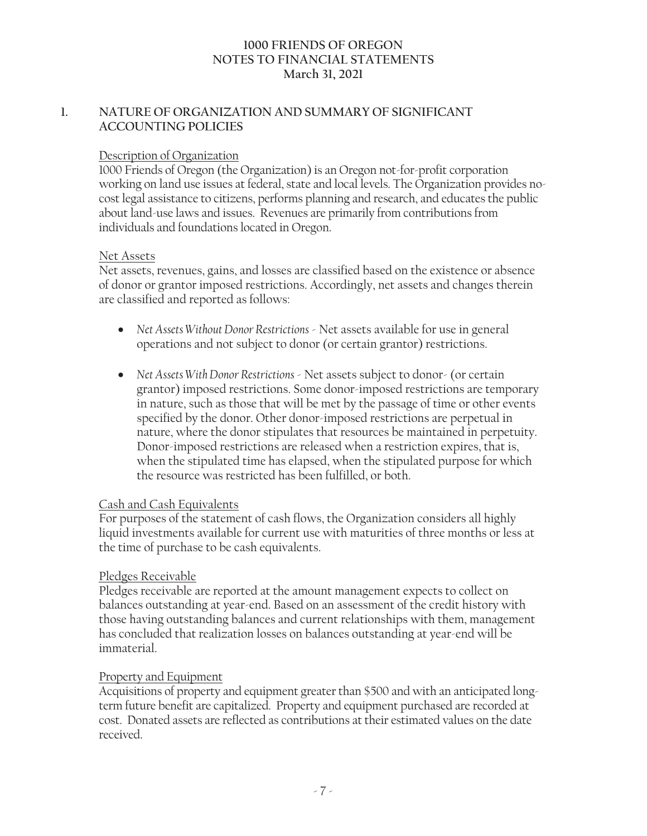## **1. NATURE OF ORGANIZATION AND SUMMARY OF SIGNIFICANT ACCOUNTING POLICIES**

# Description of Organization

1000 Friends of Oregon (the Organization) is an Oregon not-for-profit corporation working on land use issues at federal, state and local levels. The Organization provides nocost legal assistance to citizens, performs planning and research, and educates the public about land-use laws and issues. Revenues are primarily from contributions from individuals and foundations located in Oregon.

## Net Assets

Net assets, revenues, gains, and losses are classified based on the existence or absence of donor or grantor imposed restrictions. Accordingly, net assets and changes therein are classified and reported as follows:

- ! *Net Assets Without Donor Restrictions* Net assets available for use in general operations and not subject to donor (or certain grantor) restrictions.
- *Net Assets With Donor Restrictions* Net assets subject to donor- (or certain grantor) imposed restrictions. Some donor-imposed restrictions are temporary in nature, such as those that will be met by the passage of time or other events specified by the donor. Other donor-imposed restrictions are perpetual in nature, where the donor stipulates that resources be maintained in perpetuity. Donor-imposed restrictions are released when a restriction expires, that is, when the stipulated time has elapsed, when the stipulated purpose for which the resource was restricted has been fulfilled, or both.

# Cash and Cash Equivalents

For purposes of the statement of cash flows, the Organization considers all highly liquid investments available for current use with maturities of three months or less at the time of purchase to be cash equivalents.

#### Pledges Receivable

Pledges receivable are reported at the amount management expects to collect on balances outstanding at year-end. Based on an assessment of the credit history with those having outstanding balances and current relationships with them, management has concluded that realization losses on balances outstanding at year-end will be immaterial.

# Property and Equipment

Acquisitions of property and equipment greater than \$500 and with an anticipated longterm future benefit are capitalized. Property and equipment purchased are recorded at cost. Donated assets are reflected as contributions at their estimated values on the date received.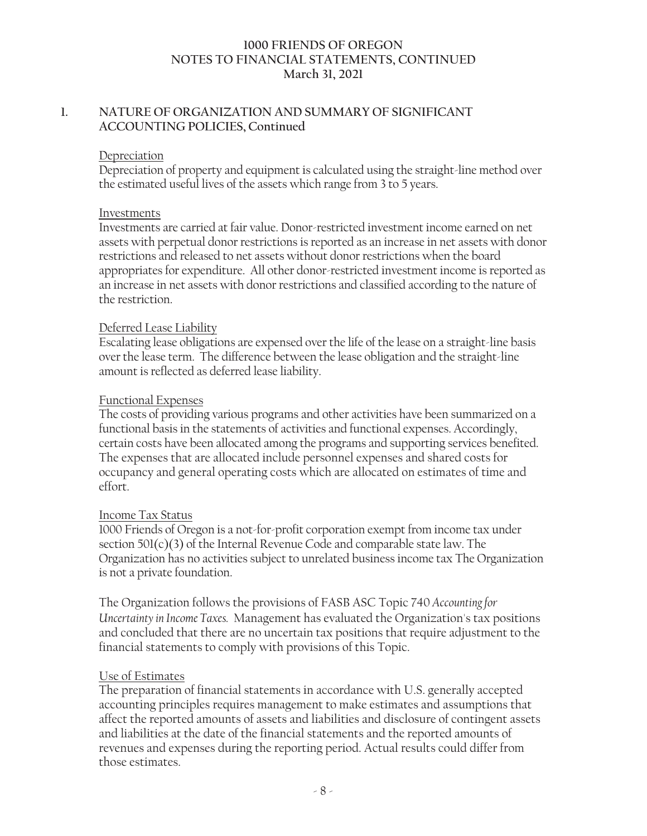#### **1. NATURE OF ORGANIZATION AND SUMMARY OF SIGNIFICANT ACCOUNTING POLICIES, Continued**

## Depreciation

Depreciation of property and equipment is calculated using the straight-line method over the estimated useful lives of the assets which range from 3 to 5 years.

### Investments

Investments are carried at fair value. Donor-restricted investment income earned on net assets with perpetual donor restrictions is reported as an increase in net assets with donor restrictions and released to net assets without donor restrictions when the board appropriates for expenditure. All other donor-restricted investment income is reported as an increase in net assets with donor restrictions and classified according to the nature of the restriction.

# Deferred Lease Liability

Escalating lease obligations are expensed over the life of the lease on a straight-line basis over the lease term. The difference between the lease obligation and the straight-line amount is reflected as deferred lease liability.

# Functional Expenses

The costs of providing various programs and other activities have been summarized on a functional basis in the statements of activities and functional expenses. Accordingly, certain costs have been allocated among the programs and supporting services benefited. The expenses that are allocated include personnel expenses and shared costs for occupancy and general operating costs which are allocated on estimates of time and effort.

# Income Tax Status

1000 Friends of Oregon is a not-for-profit corporation exempt from income tax under section 501(c)(3) of the Internal Revenue Code and comparable state law. The Organization has no activities subject to unrelated business income tax The Organization is not a private foundation.

The Organization follows the provisions of FASB ASC Topic 740 *Accounting for Uncertainty in Income Taxes.* Management has evaluated the Organization's tax positions and concluded that there are no uncertain tax positions that require adjustment to the financial statements to comply with provisions of this Topic.

# Use of Estimates

The preparation of financial statements in accordance with U.S. generally accepted accounting principles requires management to make estimates and assumptions that affect the reported amounts of assets and liabilities and disclosure of contingent assets and liabilities at the date of the financial statements and the reported amounts of revenues and expenses during the reporting period. Actual results could differ from those estimates.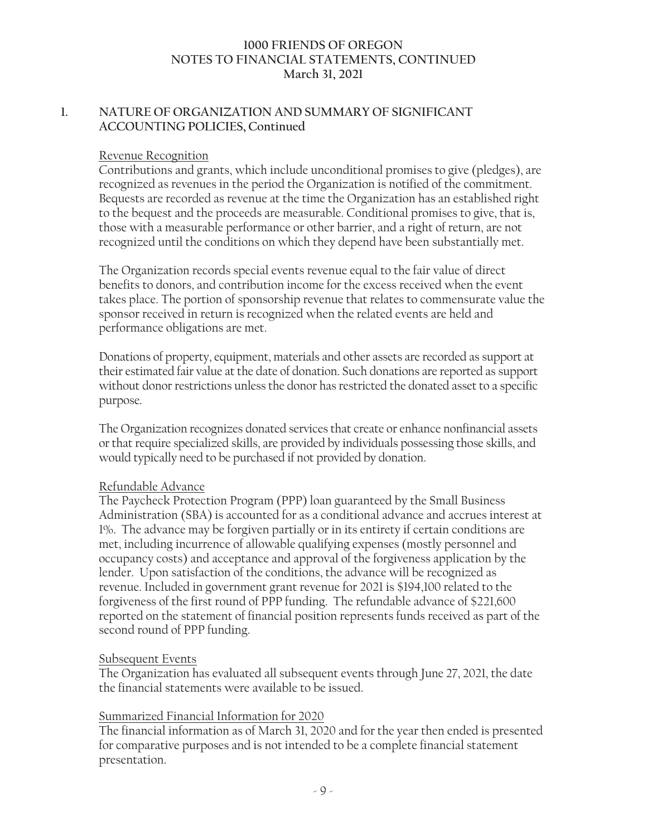### **1. NATURE OF ORGANIZATION AND SUMMARY OF SIGNIFICANT ACCOUNTING POLICIES, Continued**

# Revenue Recognition

Contributions and grants, which include unconditional promises to give (pledges), are recognized as revenues in the period the Organization is notified of the commitment. Bequests are recorded as revenue at the time the Organization has an established right to the bequest and the proceeds are measurable. Conditional promises to give, that is, those with a measurable performance or other barrier, and a right of return, are not recognized until the conditions on which they depend have been substantially met.

The Organization records special events revenue equal to the fair value of direct benefits to donors, and contribution income for the excess received when the event takes place. The portion of sponsorship revenue that relates to commensurate value the sponsor received in return is recognized when the related events are held and performance obligations are met.

Donations of property, equipment, materials and other assets are recorded as support at their estimated fair value at the date of donation. Such donations are reported as support without donor restrictions unless the donor has restricted the donated asset to a specific purpose.

The Organization recognizes donated services that create or enhance nonfinancial assets or that require specialized skills, are provided by individuals possessing those skills, and would typically need to be purchased if not provided by donation.

# Refundable Advance

The Paycheck Protection Program (PPP) loan guaranteed by the Small Business Administration (SBA) is accounted for as a conditional advance and accrues interest at 1%. The advance may be forgiven partially or in its entirety if certain conditions are met, including incurrence of allowable qualifying expenses (mostly personnel and occupancy costs) and acceptance and approval of the forgiveness application by the lender. Upon satisfaction of the conditions, the advance will be recognized as revenue. Included in government grant revenue for 2021 is \$194,100 related to the forgiveness of the first round of PPP funding. The refundable advance of \$221,600 reported on the statement of financial position represents funds received as part of the second round of PPP funding.

#### Subsequent Events

The Organization has evaluated all subsequent events through June 27, 2021, the date the financial statements were available to be issued.

# Summarized Financial Information for 2020

The financial information as of March 31, 2020 and for the year then ended is presented for comparative purposes and is not intended to be a complete financial statement presentation.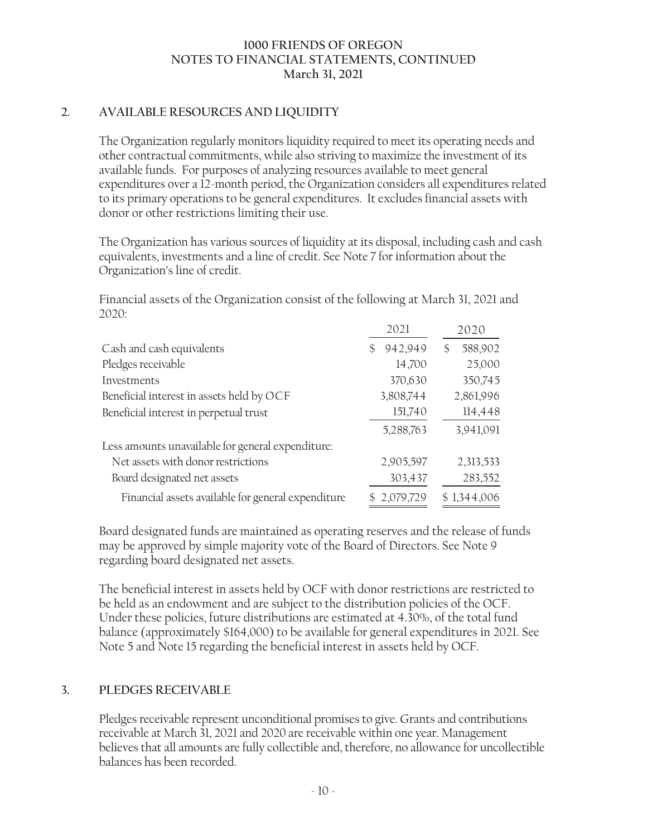## **2. AVAILABLE RESOURCES AND LIQUIDITY**

The Organization regularly monitors liquidity required to meet its operating needs and other contractual commitments, while also striving to maximize the investment of its available funds. For purposes of analyzing resources available to meet general expenditures over a 12-month period, the Organization considers all expenditures related to its primary operations to be general expenditures. It excludes financial assets with donor or other restrictions limiting their use.

The Organization has various sources of liquidity at its disposal, including cash and cash equivalents, investments and a line of credit. See Note 7 for information about the Organization's line of credit.

Financial assets of the Organization consist of the following at March 31, 2021 and 2020:

|                                                    | 2021      | 2020          |
|----------------------------------------------------|-----------|---------------|
| Cash and cash equivalents                          | 942,949   | 588,902<br>\$ |
| Pledges receivable                                 | 14,700    | 25,000        |
| Investments                                        | 370,630   | 350,745       |
| Beneficial interest in assets held by OCF          | 3,808,744 | 2,861,996     |
| Beneficial interest in perpetual trust             | 151,740   | 114,448       |
|                                                    | 5,288,763 | 3,941,091     |
| Less amounts unavailable for general expenditure:  |           |               |
| Net assets with donor restrictions                 | 2,905,597 | 2,313,533     |
| Board designated net assets                        | 303,437   | 283,552       |
| Financial assets available for general expenditure | 2,079,729 | \$1,344,006   |

Board designated funds are maintained as operating reserves and the release of funds may be approved by simple majority vote of the Board of Directors. See Note 9 regarding board designated net assets.

The beneficial interest in assets held by OCF with donor restrictions are restricted to be held as an endowment and are subject to the distribution policies of the OCF. Under these policies, future distributions are estimated at 4.30%, of the total fund balance (approximately \$164,000) to be available for general expenditures in 2021. See Note 5 and Note 15 regarding the beneficial interest in assets held by OCF.

#### **3. PLEDGES RECEIVABLE**

Pledges receivable represent unconditional promises to give. Grants and contributions receivable at March 31, 2021 and 2020 are receivable within one year. Management believes that all amounts are fully collectible and, therefore, no allowance for uncollectible balances has been recorded.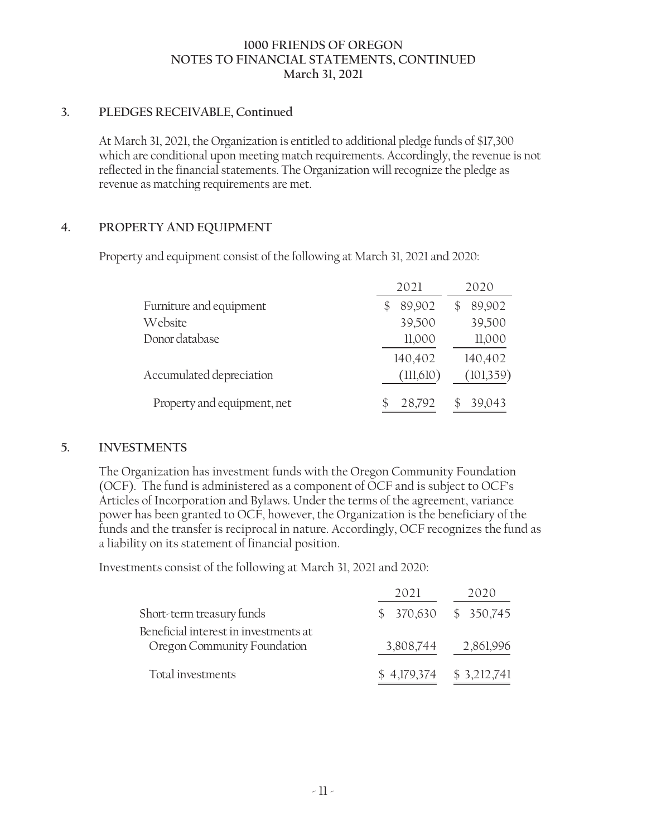## **3. PLEDGES RECEIVABLE, Continued**

At March 31, 2021, the Organization is entitled to additional pledge funds of \$17,300 which are conditional upon meeting match requirements. Accordingly, the revenue is not reflected in the financial statements. The Organization will recognize the pledge as revenue as matching requirements are met.

# **4. PROPERTY AND EQUIPMENT**

Property and equipment consist of the following at March 31, 2021 and 2020:

|                             | 2021      | 2020       |
|-----------------------------|-----------|------------|
| Furniture and equipment     | 89,902    | 89,902     |
| Website                     | 39,500    | 39,500     |
| Donor database              | 11,000    | 11,000     |
|                             | 140,402   | 140,402    |
| Accumulated depreciation    | (111,610) | (101, 359) |
| Property and equipment, net | 28,792    | 39,043     |

# **5. INVESTMENTS**

The Organization has investment funds with the Oregon Community Foundation (OCF). The fund is administered as a component of OCF and is subject to OCF's Articles of Incorporation and Bylaws. Under the terms of the agreement, variance power has been granted to OCF, however, the Organization is the beneficiary of the funds and the transfer is reciprocal in nature. Accordingly, OCF recognizes the fund as a liability on its statement of financial position.

Investments consist of the following at March 31, 2021 and 2020:

|                                                                      | 2021                  | 2020        |
|----------------------------------------------------------------------|-----------------------|-------------|
| Short-term treasury funds                                            | $$370,630$ $$350,745$ |             |
| Beneficial interest in investments at<br>Oregon Community Foundation | 3,808,744             | 2,861,996   |
| Total investments                                                    | \$4,179,374           | \$3,212,741 |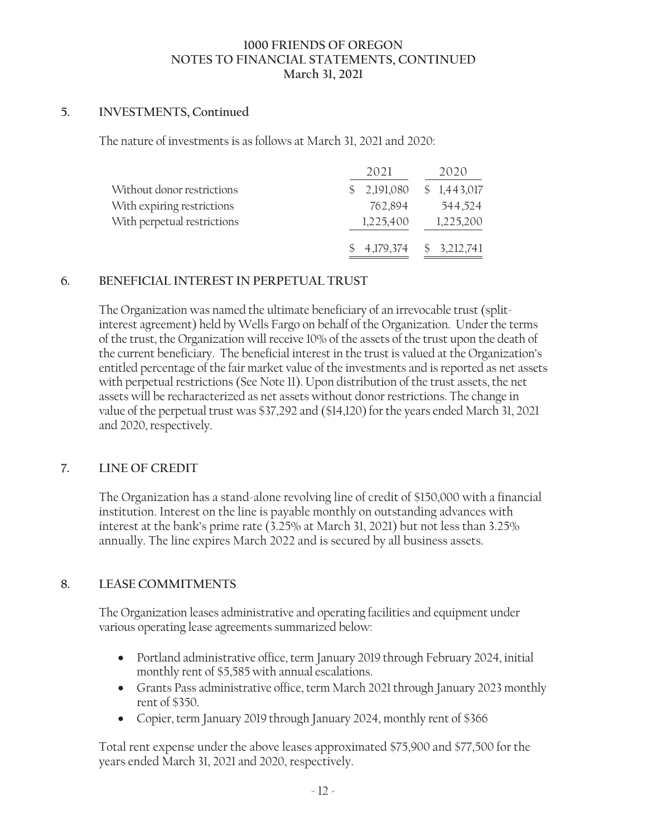#### **5. INVESTMENTS, Continued**

The nature of investments is as follows at March 31, 2021 and 2020:

|                             | 2021      | 2020        |
|-----------------------------|-----------|-------------|
| Without donor restrictions  | 2,191,080 | \$1,443,017 |
| With expiring restrictions  | 762,894   | 544,524     |
| With perpetual restrictions | 1,225,400 | 1,225,200   |
|                             | 4,179,374 | \$3,212,741 |

# **6. BENEFICIAL INTEREST IN PERPETUAL TRUST**

The Organization was named the ultimate beneficiary of an irrevocable trust (splitinterest agreement) held by Wells Fargo on behalf of the Organization. Under the terms of the trust, the Organization will receive 10% of the assets of the trust upon the death of the current beneficiary. The beneficial interest in the trust is valued at the Organization's entitled percentage of the fair market value of the investments and is reported as net assets with perpetual restrictions (See Note 11). Upon distribution of the trust assets, the net assets will be recharacterized as net assets without donor restrictions. The change in value of the perpetual trust was \$37,292 and (\$14,120) for the years ended March 31, 2021 and 2020, respectively.

# **7. LINE OF CREDIT**

The Organization has a stand-alone revolving line of credit of \$150,000 with a financial institution. Interest on the line is payable monthly on outstanding advances with interest at the bank's prime rate (3.25% at March 31, 2021) but not less than 3.25% annually. The line expires March 2022 and is secured by all business assets.

# **8. LEASE COMMITMENTS**

The Organization leases administrative and operating facilities and equipment under various operating lease agreements summarized below:

- Portland administrative office, term January 2019 through February 2024, initial monthly rent of \$5,585 with annual escalations.
- ! Grants Pass administrative office, term March 2021 through January 2023 monthly rent of \$350.
- Copier, term January 2019 through January 2024, monthly rent of \$366

Total rent expense under the above leases approximated \$75,900 and \$77,500 for the years ended March 31, 2021 and 2020, respectively.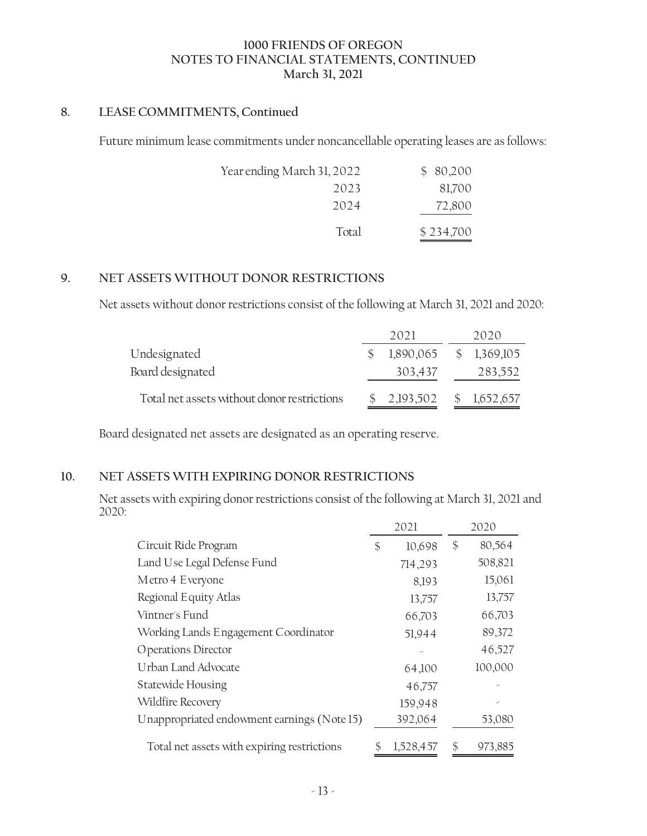# **8. LEASE COMMITMENTS, Continued**

Future minimum lease commitments under noncancellable operating leases are as follows:

| Year ending March 31, 2022 | \$80,200  |
|----------------------------|-----------|
| 2023                       | 81,700    |
| 2024                       | 72,800    |
| Total                      | \$234,700 |

# **9. NET ASSETS WITHOUT DONOR RESTRICTIONS**

Net assets without donor restrictions consist of the following at March 31, 2021 and 2020:

|                                             | $2021$      | 2020        |
|---------------------------------------------|-------------|-------------|
| Undesignated                                | 1,890,065   | \$1,369,105 |
| Board designated                            | 303,437     | 283,552     |
| Total net assets without donor restrictions | \$2,193,502 | \$1,652,657 |

Board designated net assets are designated as an operating reserve.

# **10. NET ASSETS WITH EXPIRING DONOR RESTRICTIONS**

Net assets with expiring donor restrictions consist of the following at March 31, 2021 and 2020:

|                                             | 2021 |           | 2020         |
|---------------------------------------------|------|-----------|--------------|
| Circuit Ride Program                        | \$   | 10,698    | \$<br>80,564 |
| Land Use Legal Defense Fund                 |      | 714,293   | 508,821      |
| Metro 4 Everyone                            |      | 8,193     | 15,061       |
| Regional Equity Atlas                       |      | 13,757    | 13,757       |
| Vintner's Fund                              |      | 66,703    | 66,703       |
| Working Lands Engagement Coordinator        |      | 51,944    | 89,372       |
| <b>Operations Director</b>                  |      |           | 46,527       |
| Urban Land Advocate                         |      | 64,100    | 100,000      |
| <b>Statewide Housing</b>                    |      | 46,757    |              |
| Wildfire Recovery                           |      | 159,948   |              |
| Unappropriated endowment earnings (Note 15) |      | 392,064   | 53,080       |
| Total net assets with expiring restrictions |      | 1,528,457 | 973,885      |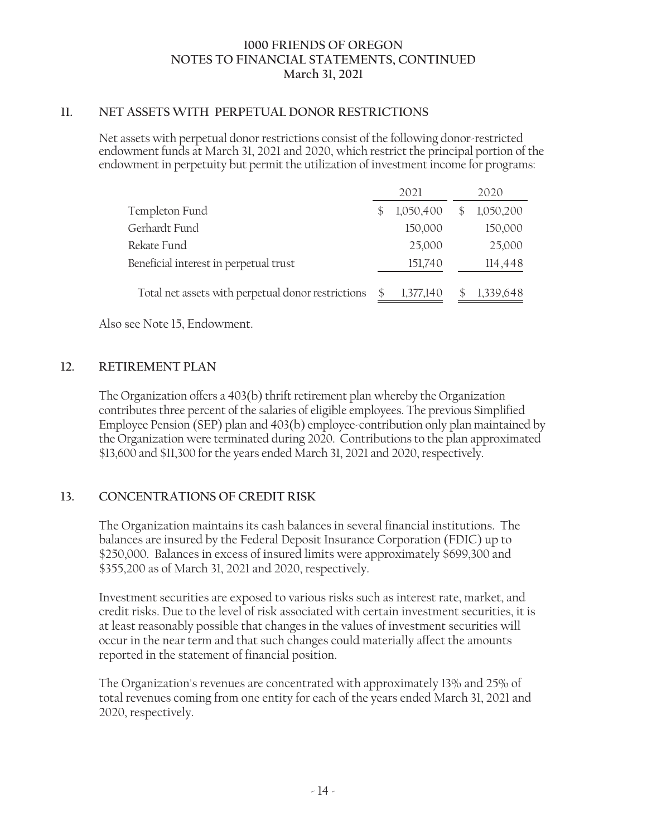#### **11. NET ASSETS WITH PERPETUAL DONOR RESTRICTIONS**

Net assets with perpetual donor restrictions consist of the following donor-restricted endowment funds at March 31, 2021 and 2020, which restrict the principal portion of the endowment in perpetuity but permit the utilization of investment income for programs:

|                                                    | 2021      | 2020      |
|----------------------------------------------------|-----------|-----------|
| Templeton Fund                                     | 1,050,400 | 1,050,200 |
| Gerhardt Fund                                      | 150,000   | 150,000   |
| Rekate Fund                                        | 25,000    | 25,000    |
| Beneficial interest in perpetual trust             | 151,740   | 114,448   |
| Total net assets with perpetual donor restrictions | 1,377,140 | 1,339,648 |

Also see Note 15, Endowment.

# **12. RETIREMENT PLAN**

The Organization offers a 403(b) thrift retirement plan whereby the Organization contributes three percent of the salaries of eligible employees. The previous Simplified Employee Pension (SEP) plan and 403(b) employee-contribution only plan maintained by the Organization were terminated during 2020. Contributions to the plan approximated \$13,600 and \$11,300 for the years ended March 31, 2021 and 2020, respectively.

# **13. CONCENTRATIONS OF CREDIT RISK**

The Organization maintains its cash balances in several financial institutions. The balances are insured by the Federal Deposit Insurance Corporation (FDIC) up to \$250,000. Balances in excess of insured limits were approximately \$699,300 and \$355,200 as of March 31, 2021 and 2020, respectively.

Investment securities are exposed to various risks such as interest rate, market, and credit risks. Due to the level of risk associated with certain investment securities, it is at least reasonably possible that changes in the values of investment securities will occur in the near term and that such changes could materially affect the amounts reported in the statement of financial position.

The Organization's revenues are concentrated with approximately 13% and 25% of total revenues coming from one entity for each of the years ended March 31, 2021 and 2020, respectively.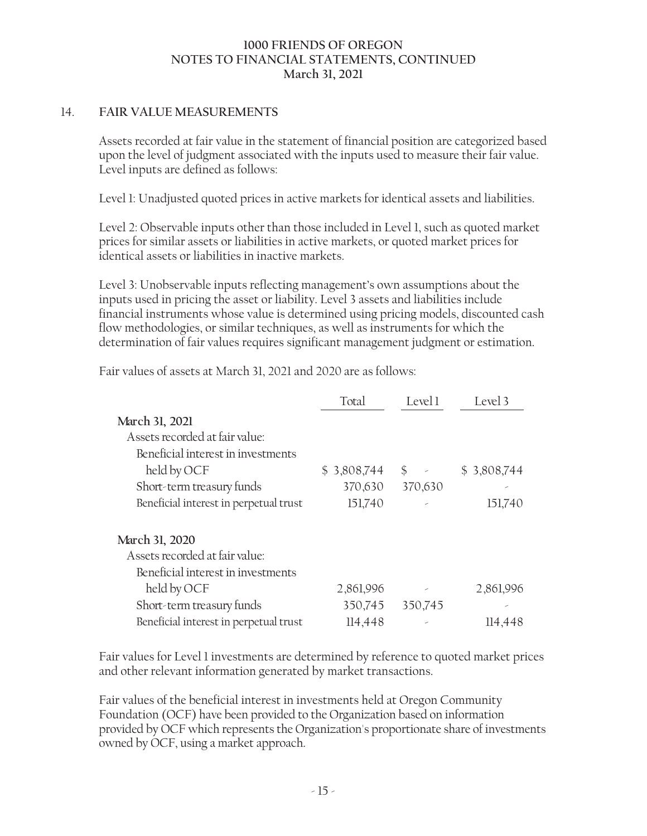# 14. **FAIR VALUE MEASUREMENTS**

Assets recorded at fair value in the statement of financial position are categorized based upon the level of judgment associated with the inputs used to measure their fair value. Level inputs are defined as follows:

Level 1: Unadjusted quoted prices in active markets for identical assets and liabilities.

Level 2: Observable inputs other than those included in Level 1, such as quoted market prices for similar assets or liabilities in active markets, or quoted market prices for identical assets or liabilities in inactive markets.

Level 3: Unobservable inputs reflecting management's own assumptions about the inputs used in pricing the asset or liability. Level 3 assets and liabilities include financial instruments whose value is determined using pricing models, discounted cash flow methodologies, or similar techniques, as well as instruments for which the determination of fair values requires significant management judgment or estimation.

|                                        | Total       | Level 1                                  | Level 3     |
|----------------------------------------|-------------|------------------------------------------|-------------|
| March 31, 2021                         |             |                                          |             |
| Assets recorded at fair value:         |             |                                          |             |
| Beneficial interest in investments     |             |                                          |             |
| held by OCF                            | \$3,808,744 | $\mathbb{S}$<br>$\overline{\phantom{a}}$ | \$3,808,744 |
| Short-term treasury funds              | 370,630     | 370,630                                  |             |
| Beneficial interest in perpetual trust | 151,740     |                                          | 151,740     |
|                                        |             |                                          |             |
| March 31, 2020                         |             |                                          |             |
| Assets recorded at fair value:         |             |                                          |             |
| Beneficial interest in investments     |             |                                          |             |
| held by OCF                            | 2,861,996   | ×                                        | 2,861,996   |
| Short-term treasury funds              | 350,745     | 350,745                                  |             |
| Beneficial interest in perpetual trust | 114,448     | ╭                                        | 114,448     |

Fair values of assets at March 31, 2021 and 2020 are as follows:

Fair values for Level 1 investments are determined by reference to quoted market prices and other relevant information generated by market transactions.

Fair values of the beneficial interest in investments held at Oregon Community Foundation (OCF) have been provided to the Organization based on information provided by OCF which represents the Organization's proportionate share of investments owned by OCF, using a market approach.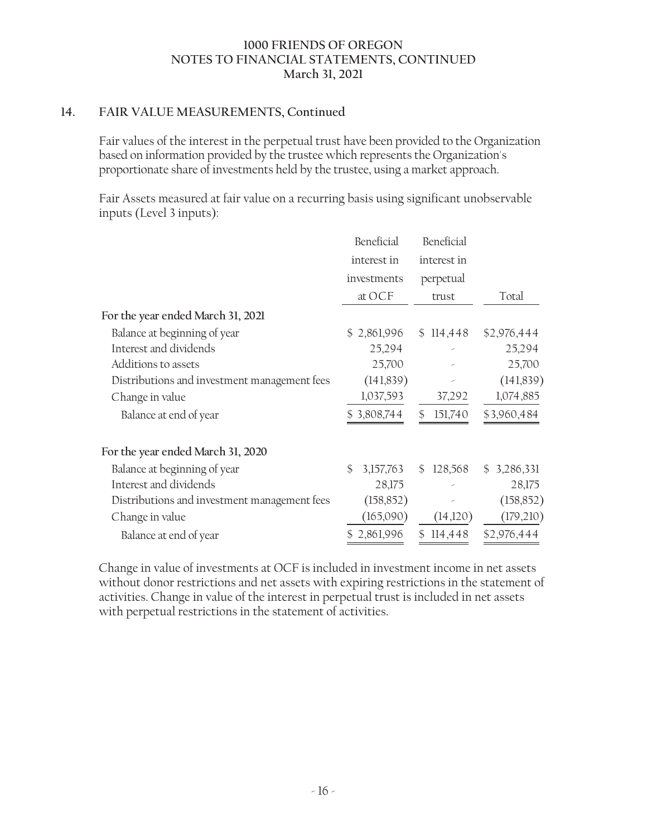## **14. FAIR VALUE MEASUREMENTS, Continued**

Fair values of the interest in the perpetual trust have been provided to the Organization based on information provided by the trustee which represents the Organization's proportionate share of investments held by the trustee, using a market approach.

Fair Assets measured at fair value on a recurring basis using significant unobservable inputs (Level 3 inputs):

|                                              | Beneficial      | Beneficial               |             |
|----------------------------------------------|-----------------|--------------------------|-------------|
|                                              | interest in     | interest in              |             |
|                                              | investments     | perpetual                |             |
|                                              | at OCF          | trust                    | Total       |
| For the year ended March 31, 2021            |                 |                          |             |
| Balance at beginning of year                 | \$2,861,996     | \$114,448                | \$2,976,444 |
| Interest and dividends                       | 25,294          |                          | 25,294      |
| Additions to assets                          | 25,700          |                          | 25,700      |
| Distributions and investment management fees | (141, 839)      | ł                        | (141, 839)  |
| Change in value                              | 1,037,593       | 37,292                   | 1,074,885   |
| Balance at end of year                       | \$3,808,744     | $\mathcal{S}$<br>151,740 | \$3,960,484 |
| For the year ended March 31, 2020            |                 |                          |             |
| Balance at beginning of year                 | \$<br>3,157,763 | 128,568<br>$\mathbb{S}$  | \$3,286,331 |
| Interest and dividends                       | 28,175          |                          | 28,175      |
| Distributions and investment management fees | (158, 852)      | ×                        | (158, 852)  |
| Change in value                              | (165,090)       | (14,120)                 | (179,210)   |
| Balance at end of year                       | \$2,861,996     | \$114,448                | \$2,976,444 |

Change in value of investments at OCF is included in investment income in net assets without donor restrictions and net assets with expiring restrictions in the statement of activities. Change in value of the interest in perpetual trust is included in net assets with perpetual restrictions in the statement of activities.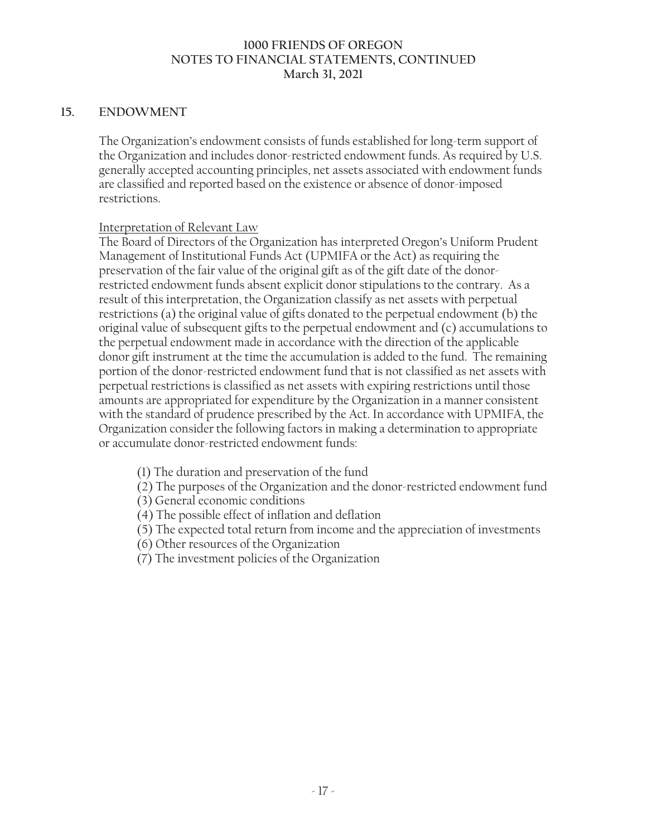## **15. ENDOWMENT**

The Organization's endowment consists of funds established for long-term support of the Organization and includes donor-restricted endowment funds. As required by U.S. generally accepted accounting principles, net assets associated with endowment funds are classified and reported based on the existence or absence of donor-imposed restrictions.

## Interpretation of Relevant Law

The Board of Directors of the Organization has interpreted Oregon's Uniform Prudent Management of Institutional Funds Act (UPMIFA or the Act) as requiring the preservation of the fair value of the original gift as of the gift date of the donorrestricted endowment funds absent explicit donor stipulations to the contrary. As a result of this interpretation, the Organization classify as net assets with perpetual restrictions (a) the original value of gifts donated to the perpetual endowment (b) the original value of subsequent gifts to the perpetual endowment and (c) accumulations to the perpetual endowment made in accordance with the direction of the applicable donor gift instrument at the time the accumulation is added to the fund. The remaining portion of the donor-restricted endowment fund that is not classified as net assets with perpetual restrictions is classified as net assets with expiring restrictions until those amounts are appropriated for expenditure by the Organization in a manner consistent with the standard of prudence prescribed by the Act. In accordance with UPMIFA, the Organization consider the following factors in making a determination to appropriate or accumulate donor-restricted endowment funds:

- (1) The duration and preservation of the fund
- (2) The purposes of the Organization and the donor-restricted endowment fund
- (3) General economic conditions
- (4) The possible effect of inflation and deflation
- (5) The expected total return from income and the appreciation of investments
- (6) Other resources of the Organization
- (7) The investment policies of the Organization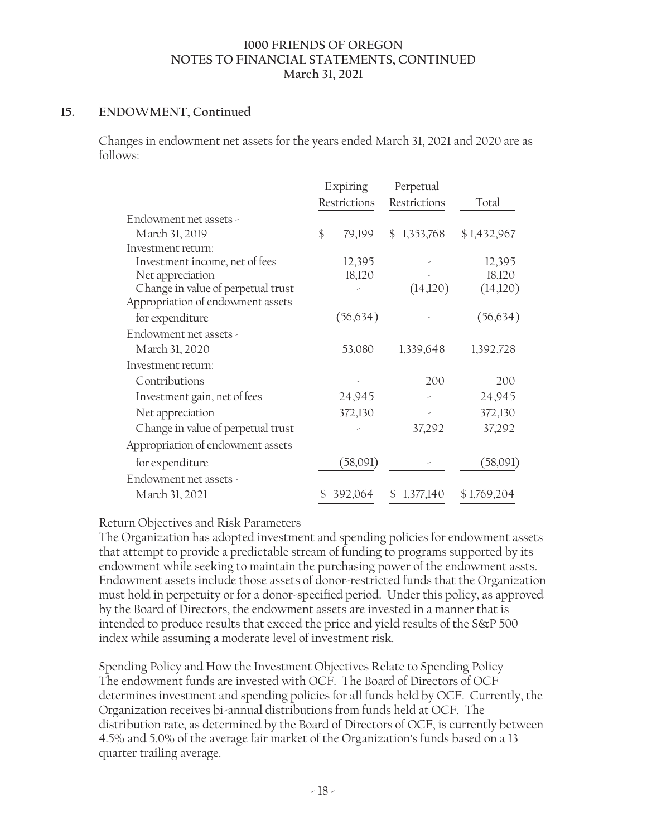#### **15. ENDOWMENT, Continued**

Changes in endowment net assets for the years ended March 31, 2021 and 2020 are as follows:

|                                    |    | Expiring     | Perpetual    |             |
|------------------------------------|----|--------------|--------------|-------------|
|                                    |    | Restrictions | Restrictions | Total       |
| Endowment net assets -             |    |              |              |             |
| March 31, 2019                     | \$ | 79,199       | \$1,353,768  | \$1,432,967 |
| Investment return:                 |    |              |              |             |
| Investment income, net of fees     |    | 12,395       |              | 12,395      |
| Net appreciation                   |    | 18,120       |              | 18,120      |
| Change in value of perpetual trust |    |              | (14,120)     | (14,120)    |
| Appropriation of endowment assets  |    |              |              |             |
| for expenditure                    |    | (56, 634)    |              | (56,634)    |
| Endowment net assets -             |    |              |              |             |
| March 31, 2020                     |    | 53,080       | 1,339,648    | 1,392,728   |
| Investment return:                 |    |              |              |             |
| Contributions                      |    |              | 200          | 200         |
| Investment gain, net of fees       |    | 24,945       |              | 24,945      |
| Net appreciation                   |    | 372,130      |              | 372,130     |
| Change in value of perpetual trust |    |              | 37,292       | 37,292      |
| Appropriation of endowment assets  |    |              |              |             |
| for expenditure                    |    | (58,091)     |              | (58,091)    |
| Endowment net assets -             |    |              |              |             |
| March 31, 2021                     | S  | 392,064      | \$1,377,140  | \$1,769,204 |

#### Return Objectives and Risk Parameters

The Organization has adopted investment and spending policies for endowment assets that attempt to provide a predictable stream of funding to programs supported by its endowment while seeking to maintain the purchasing power of the endowment assts. Endowment assets include those assets of donor-restricted funds that the Organization must hold in perpetuity or for a donor-specified period. Under this policy, as approved by the Board of Directors, the endowment assets are invested in a manner that is intended to produce results that exceed the price and yield results of the S&P 500 index while assuming a moderate level of investment risk.

Spending Policy and How the Investment Objectives Relate to Spending Policy The endowment funds are invested with OCF. The Board of Directors of OCF determines investment and spending policies for all funds held by OCF. Currently, the Organization receives bi-annual distributions from funds held at OCF. The distribution rate, as determined by the Board of Directors of OCF, is currently between 4.5% and 5.0% of the average fair market of the Organization's funds based on a 13 quarter trailing average.